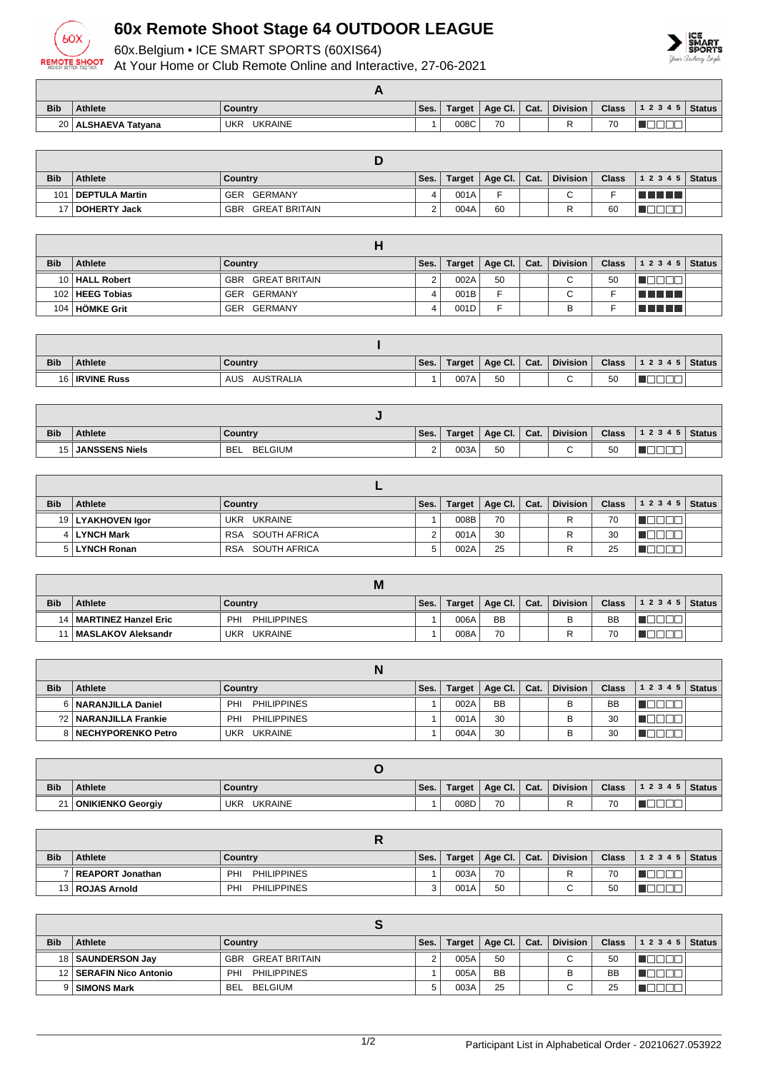

## **60x Remote Shoot Stage 64 OUTDOOR LEAGUE**

60x.Belgium • ICE SMART SPORTS (60XIS64)

At Your Home or Club Remote Online and Interactive, 27-06-2021



| <b>Bib</b>      | <b>Athlete</b>   | Country                      | Ses. | <b>Target</b> | Age Cl. | Cat. | <b>Division</b> | <b>Class</b> | 12345 | $\vert$ Status |
|-----------------|------------------|------------------------------|------|---------------|---------|------|-----------------|--------------|-------|----------------|
| 20 <sub>1</sub> | ALSHAEVA Tatyana | <b>UKRAINE</b><br><b>UKR</b> |      | 008C          | 70      |      |                 | 70           |       |                |

| <b>Bib</b> | Athlete           | Country              | Ses. | Target | Age Cl.   Cat. | <b>Division</b> | <b>Class</b> | $ 12345 $ Status |  |
|------------|-------------------|----------------------|------|--------|----------------|-----------------|--------------|------------------|--|
| 101        | DEPTULA Martin    | GER GERMANY          |      | 001A   |                | ⌒               |              | TI FI FI         |  |
|            | 17   DOHERTY Jack | GBR<br>GREAT BRITAIN |      | 004A   | 60             |                 | 60           |                  |  |

| <b>Bib</b> | <b>Athlete</b>    | Country                  | Ses. | Target | Age Cl.   Cat. | <b>Division</b> | <b>Class</b> | $1\ 2\ 3\ 4\ 5$   Status |  |
|------------|-------------------|--------------------------|------|--------|----------------|-----------------|--------------|--------------------------|--|
|            | 10   HALL Robert  | <b>GBR GREAT BRITAIN</b> |      | 002A   | 50             | С               | 50           |                          |  |
|            | 102   HEEG Tobias | GER GERMANY              |      | 001B   |                | С               |              | an an a                  |  |
|            | 104 HÖMKE Grit    | GER GERMANY              |      | 001D   |                | в               |              | M M M M M                |  |

| <b>Bib</b> | <b>Athlete</b>        | Country                 | Ses. | Target | Age Cl.   Cat. | <b>Division</b> | <b>Class</b> | 12345 | Status |
|------------|-----------------------|-------------------------|------|--------|----------------|-----------------|--------------|-------|--------|
|            | 16 <b>IRVINE Russ</b> | <b>AUSTRALIA</b><br>AUS |      | 007A   | 50             | $\sim$<br>◡     | 50           | _     |        |

| <b>Bib</b> | <b>Athlete</b>        | Country                      | Ses.     | <b>Target</b> | Age Cl.   Cat. | <b>Division</b> | <b>Class</b> | $12345$ | <b>Status</b> |
|------------|-----------------------|------------------------------|----------|---------------|----------------|-----------------|--------------|---------|---------------|
| 151        | <b>JANSSENS Niels</b> | <b>BELGIUM</b><br><b>BEL</b> | <u>.</u> | 003A          | 50             | $\sim$<br>ີ     | 50           |         |               |

| <b>Bib</b> | Athlete             | Country             | Ses. | <b>Target</b> | Age Cl. $\vert$ | Cat. | <b>Division</b> | <b>Class</b> | $12345$ Status |  |
|------------|---------------------|---------------------|------|---------------|-----------------|------|-----------------|--------------|----------------|--|
|            | 19   LYAKHOVEN Igor | UKRAINE<br>UKR      |      | 008B          | 70              |      |                 | 70           |                |  |
|            | 4   LYNCH Mark      | SOUTH AFRICA<br>RSA |      | 001A          | 30              |      |                 | 30           |                |  |
|            | 5 LYNCH Ronan       | SOUTH AFRICA<br>RSA | 5.   | 002A          | 25              |      |                 | 25           |                |  |

|            |                           | M                         |      |        |                      |                 |           |                |  |
|------------|---------------------------|---------------------------|------|--------|----------------------|-----------------|-----------|----------------|--|
| <b>Bib</b> | <b>Athlete</b>            | Country                   | Ses. | Target | Age Cl. $\vert$ Cat. | <b>Division</b> | Class     | $12345$ Status |  |
|            | 14   MARTINEZ Hanzel Eric | <b>PHILIPPINES</b><br>PHI |      | 006A   | <b>BB</b>            |                 | <b>BB</b> |                |  |
|            | ∣ MASLAKOV Aleksandr      | UKRAINE<br>UKR.           |      | 008A   | 70                   |                 | 70        |                |  |

| <b>Bib</b> | Athlete                 | Country                   | Ses. | <b>Target</b> | Age Cl. $\vert$ | Cat. | <b>Division</b> | <b>Class</b> | 12345 | <b>Status</b> |
|------------|-------------------------|---------------------------|------|---------------|-----------------|------|-----------------|--------------|-------|---------------|
|            | 6   NARANJILLA Daniel   | <b>PHILIPPINES</b><br>PHI |      | 002A          | <b>BB</b>       |      |                 | <b>BB</b>    |       |               |
|            | ?2   NARANJILLA Frankie | <b>PHILIPPINES</b><br>PHI |      | 001A          | 30              |      | ь               | 30           |       |               |
|            | 8   NECHYPORENKO Petro  | <b>UKRAINE</b><br>UKR     |      | 004A          | 30              |      |                 | 30           |       |               |

| <b>Bib</b> | <b>Athlete</b>    | Country               | Ses. | Target | Age Cl. | Cat. | <b>Division</b> | <b>Class</b> | 12345 | Status |
|------------|-------------------|-----------------------|------|--------|---------|------|-----------------|--------------|-------|--------|
| $\sim$     | ONIKIENKO Georgiy | <b>UKRAINE</b><br>UKR |      | 008D   | 70      |      |                 | 70<br>ט ו    |       |        |

| <b>Bib</b> | <b>Athlete</b>     | Country                   | Ses. | Target | Age Cl.   Cat. | <b>Division</b> | <b>Class</b> | $12345$ Status |  |
|------------|--------------------|---------------------------|------|--------|----------------|-----------------|--------------|----------------|--|
|            | ' REAPORT Jonathan | <b>PHILIPPINES</b><br>PHI |      | 003A   | 70             |                 | 70           |                |  |
|            | 13 ROJAS Arnold    | PHILIPPINES<br>PHI        |      | 001A   | 50             |                 | 50           |                |  |

| <b>Bib</b> | <b>Athlete</b>            | Country                   | Ses. | Target | Age Cl. $\vert$ Cat. | <b>Division</b> | <b>Class</b> | 1 2 3 4 5 | <b>Status</b> |
|------------|---------------------------|---------------------------|------|--------|----------------------|-----------------|--------------|-----------|---------------|
|            | 18   SAUNDERSON Jay       | GBR<br>GREAT BRITAIN      |      | 005A   | 50                   | $\sim$<br>U     | 50           |           |               |
|            | 12   SERAFIN Nico Antonio | <b>PHILIPPINES</b><br>PHI |      | 005A   | <b>BB</b>            |                 | BB           |           |               |
|            | 9 SIMONS Mark             | BELGIUM<br>BEL            |      | 003A   | 25                   | ⌒               | 25           |           |               |